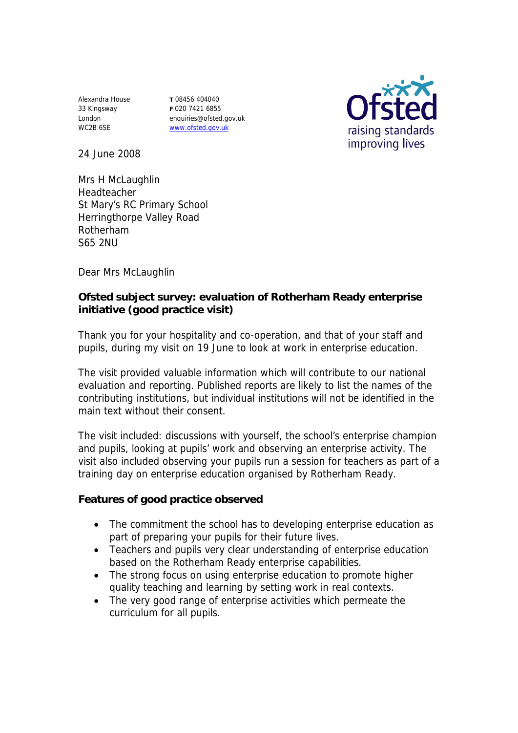Alexandra House 33 Kingsway London WC2B 6SE

**T** 08456 404040 **F** 020 7421 6855 enquiries@ofsted.gov.uk www.ofsted.gov.uk



24 June 2008

Mrs H McLaughlin Headteacher St Mary's RC Primary School Herringthorpe Valley Road Rotherham S65 2NU

Dear Mrs McLaughlin

**Ofsted subject survey: evaluation of Rotherham Ready enterprise initiative (good practice visit)**

Thank you for your hospitality and co-operation, and that of your staff and pupils, during my visit on 19 June to look at work in enterprise education.

The visit provided valuable information which will contribute to our national evaluation and reporting. Published reports are likely to list the names of the contributing institutions, but individual institutions will not be identified in the main text without their consent.

The visit included: discussions with yourself, the school's enterprise champion and pupils, looking at pupils' work and observing an enterprise activity. The visit also included observing your pupils run a session for teachers as part of a training day on enterprise education organised by Rotherham Ready.

**Features of good practice observed**

- The commitment the school has to developing enterprise education as part of preparing your pupils for their future lives.
- Teachers and pupils very clear understanding of enterprise education based on the Rotherham Ready enterprise capabilities.
- The strong focus on using enterprise education to promote higher quality teaching and learning by setting work in real contexts.
- The very good range of enterprise activities which permeate the curriculum for all pupils.